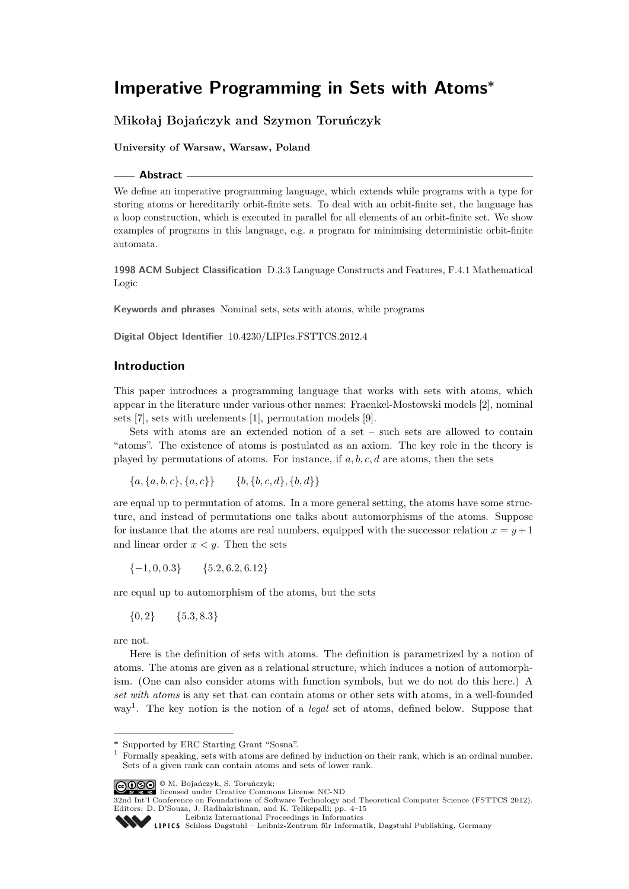# **Mikołaj Bojańczyk and Szymon Toruńczyk**

**University of Warsaw, Warsaw, Poland**

#### **Abstract**

We define an imperative programming language, which extends while programs with a type for storing atoms or hereditarily orbit-finite sets. To deal with an orbit-finite set, the language has a loop construction, which is executed in parallel for all elements of an orbit-finite set. We show examples of programs in this language, e.g. a program for minimising deterministic orbit-finite automata.

**1998 ACM Subject Classification** D.3.3 Language Constructs and Features, F.4.1 Mathematical Logic

**Keywords and phrases** Nominal sets, sets with atoms, while programs

**Digital Object Identifier** [10.4230/LIPIcs.FSTTCS.2012.4](http://dx.doi.org/10.4230/LIPIcs.FSTTCS.2012.4)

# **Introduction**

This paper introduces a programming language that works with sets with atoms, which appear in the literature under various other names: Fraenkel-Mostowski models [\[2\]](#page-11-0), nominal sets [\[7\]](#page-11-1), sets with urelements [\[1\]](#page-11-2), permutation models [\[9\]](#page-11-3).

Sets with atoms are an extended notion of a set – such sets are allowed to contain "atoms". The existence of atoms is postulated as an axiom. The key role in the theory is played by permutations of atoms. For instance, if *a, b, c, d* are atoms, then the sets

 ${a, {a, b, c}, {a, c}} \$   ${b, {b, c, d}, {b, d}}$ 

are equal up to permutation of atoms. In a more general setting, the atoms have some structure, and instead of permutations one talks about automorphisms of the atoms. Suppose for instance that the atoms are real numbers, equipped with the successor relation  $x = y + 1$ and linear order  $x < y$ . Then the sets

{−1*,* 0*,* 0*.*3} {5*.*2*,* 6*.*2*,* 6*.*12}

are equal up to automorphism of the atoms, but the sets

 ${0,2}$   ${5.3,8.3}$ 

are not.

Here is the definition of sets with atoms. The definition is parametrized by a notion of atoms. The atoms are given as a relational structure, which induces a notion of automorphism. (One can also consider atoms with function symbols, but we do not do this here.) A *set with atoms* is any set that can contain atoms or other sets with atoms, in a well-founded way[1](#page-0-0) . The key notion is the notion of a *legal* set of atoms, defined below. Suppose that

**<sup>∗</sup>** Supported by ERC Starting Grant "Sosna".

<span id="page-0-0"></span><sup>&</sup>lt;sup>1</sup> Formally speaking, sets with atoms are defined by induction on their rank, which is an ordinal number. Sets of a given rank can contain atoms and sets of lower rank.

<sup>©</sup> M. Bojańczyk, S. Toruńczyk; licensed under Creative Commons License NC-ND

<sup>32</sup>nd Int'l Conference on Foundations of Software Technology and Theoretical Computer Science (FSTTCS 2012). Editors: D. D'Souza, J. Radhakrishnan, and K. Telikepalli; pp. 4[–15](#page-11-4)

[Leibniz International Proceedings in Informatics](http://www.dagstuhl.de/lipics/)

Leibniz international Froceedings in informatik, Dagstuhl Publishing, Germany<br>LIPICS [Schloss Dagstuhl – Leibniz-Zentrum für Informatik, Dagstuhl Publishing, Germany](http://www.dagstuhl.de)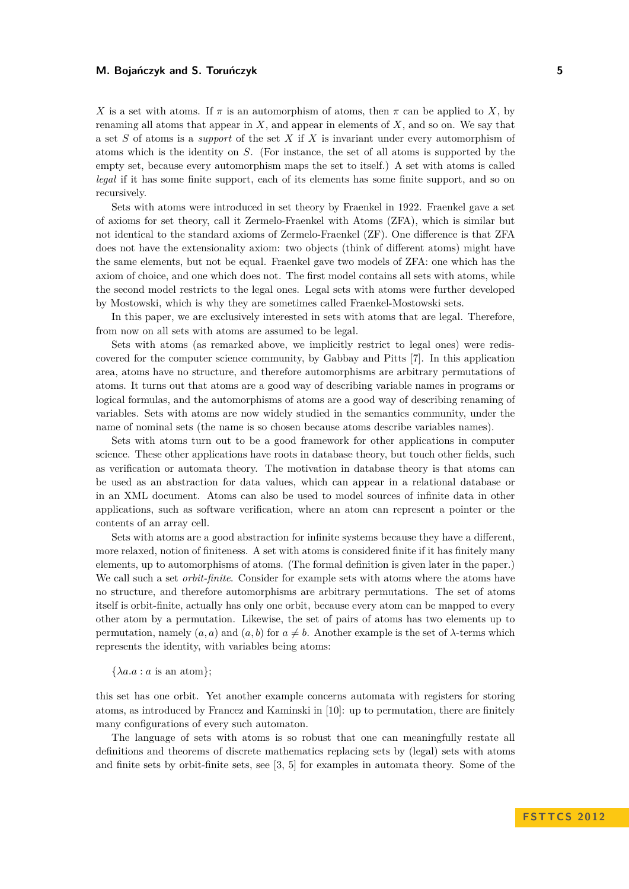*X* is a set with atoms. If  $\pi$  is an automorphism of atoms, then  $\pi$  can be applied to *X*, by renaming all atoms that appear in *X*, and appear in elements of *X*, and so on. We say that a set *S* of atoms is a *support* of the set *X* if *X* is invariant under every automorphism of atoms which is the identity on *S*. (For instance, the set of all atoms is supported by the empty set, because every automorphism maps the set to itself.) A set with atoms is called *legal* if it has some finite support, each of its elements has some finite support, and so on recursively.

Sets with atoms were introduced in set theory by Fraenkel in 1922. Fraenkel gave a set of axioms for set theory, call it Zermelo-Fraenkel with Atoms (ZFA), which is similar but not identical to the standard axioms of Zermelo-Fraenkel (ZF). One difference is that ZFA does not have the extensionality axiom: two objects (think of different atoms) might have the same elements, but not be equal. Fraenkel gave two models of ZFA: one which has the axiom of choice, and one which does not. The first model contains all sets with atoms, while the second model restricts to the legal ones. Legal sets with atoms were further developed by Mostowski, which is why they are sometimes called Fraenkel-Mostowski sets.

In this paper, we are exclusively interested in sets with atoms that are legal. Therefore, from now on all sets with atoms are assumed to be legal.

Sets with atoms (as remarked above, we implicitly restrict to legal ones) were rediscovered for the computer science community, by Gabbay and Pitts [\[7\]](#page-11-1). In this application area, atoms have no structure, and therefore automorphisms are arbitrary permutations of atoms. It turns out that atoms are a good way of describing variable names in programs or logical formulas, and the automorphisms of atoms are a good way of describing renaming of variables. Sets with atoms are now widely studied in the semantics community, under the name of nominal sets (the name is so chosen because atoms describe variables names).

Sets with atoms turn out to be a good framework for other applications in computer science. These other applications have roots in database theory, but touch other fields, such as verification or automata theory. The motivation in database theory is that atoms can be used as an abstraction for data values, which can appear in a relational database or in an XML document. Atoms can also be used to model sources of infinite data in other applications, such as software verification, where an atom can represent a pointer or the contents of an array cell.

Sets with atoms are a good abstraction for infinite systems because they have a different, more relaxed, notion of finiteness. A set with atoms is considered finite if it has finitely many elements, up to automorphisms of atoms. (The formal definition is given later in the paper.) We call such a set *orbit-finite*. Consider for example sets with atoms where the atoms have no structure, and therefore automorphisms are arbitrary permutations. The set of atoms itself is orbit-finite, actually has only one orbit, because every atom can be mapped to every other atom by a permutation. Likewise, the set of pairs of atoms has two elements up to permutation, namely  $(a, a)$  and  $(a, b)$  for  $a \neq b$ . Another example is the set of  $\lambda$ -terms which represents the identity, with variables being atoms:

 $\{\lambda a.a : a \text{ is an atom}\};$ 

this set has one orbit. Yet another example concerns automata with registers for storing atoms, as introduced by Francez and Kaminski in [\[10\]](#page-11-5): up to permutation, there are finitely many configurations of every such automaton.

The language of sets with atoms is so robust that one can meaningfully restate all definitions and theorems of discrete mathematics replacing sets by (legal) sets with atoms and finite sets by orbit-finite sets, see [\[3,](#page-11-6) [5\]](#page-11-7) for examples in automata theory. Some of the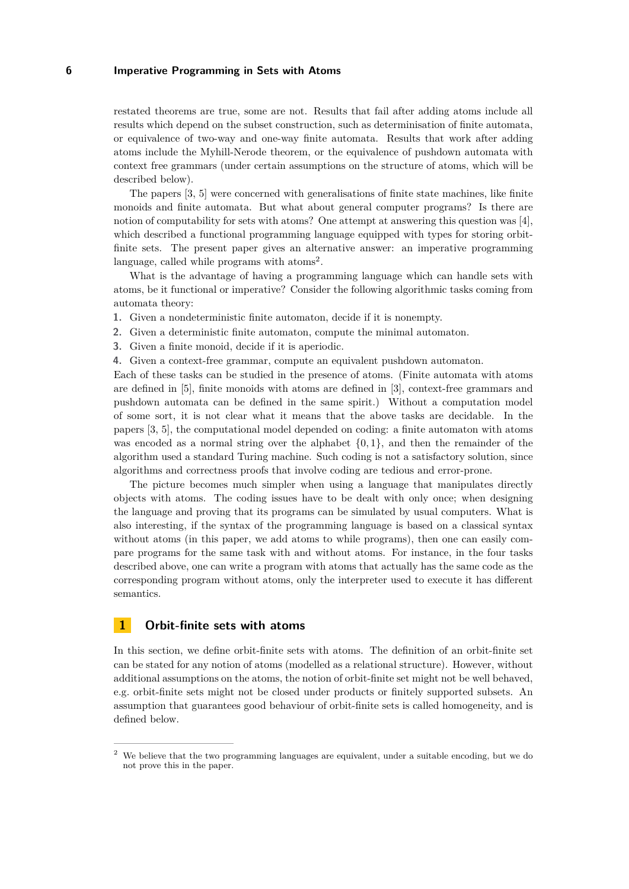restated theorems are true, some are not. Results that fail after adding atoms include all results which depend on the subset construction, such as determinisation of finite automata, or equivalence of two-way and one-way finite automata. Results that work after adding atoms include the Myhill-Nerode theorem, or the equivalence of pushdown automata with context free grammars (under certain assumptions on the structure of atoms, which will be described below).

The papers [\[3,](#page-11-6) [5\]](#page-11-7) were concerned with generalisations of finite state machines, like finite monoids and finite automata. But what about general computer programs? Is there are notion of computability for sets with atoms? One attempt at answering this question was [\[4\]](#page-11-8), which described a functional programming language equipped with types for storing orbitfinite sets. The present paper gives an alternative answer: an imperative programming language, called while programs with  $\text{atoms}^2$  $\text{atoms}^2$ .

What is the advantage of having a programming language which can handle sets with atoms, be it functional or imperative? Consider the following algorithmic tasks coming from automata theory:

- **1.** Given a nondeterministic finite automaton, decide if it is nonempty.
- **2.** Given a deterministic finite automaton, compute the minimal automaton.
- **3.** Given a finite monoid, decide if it is aperiodic.
- **4.** Given a context-free grammar, compute an equivalent pushdown automaton.

Each of these tasks can be studied in the presence of atoms. (Finite automata with atoms are defined in [\[5\]](#page-11-7), finite monoids with atoms are defined in [\[3\]](#page-11-6), context-free grammars and pushdown automata can be defined in the same spirit.) Without a computation model of some sort, it is not clear what it means that the above tasks are decidable. In the papers [\[3,](#page-11-6) [5\]](#page-11-7), the computational model depended on coding: a finite automaton with atoms was encoded as a normal string over the alphabet  $\{0, 1\}$ , and then the remainder of the algorithm used a standard Turing machine. Such coding is not a satisfactory solution, since algorithms and correctness proofs that involve coding are tedious and error-prone.

The picture becomes much simpler when using a language that manipulates directly objects with atoms. The coding issues have to be dealt with only once; when designing the language and proving that its programs can be simulated by usual computers. What is also interesting, if the syntax of the programming language is based on a classical syntax without atoms (in this paper, we add atoms to while programs), then one can easily compare programs for the same task with and without atoms. For instance, in the four tasks described above, one can write a program with atoms that actually has the same code as the corresponding program without atoms, only the interpreter used to execute it has different semantics.

# **1 Orbit-finite sets with atoms**

In this section, we define orbit-finite sets with atoms. The definition of an orbit-finite set can be stated for any notion of atoms (modelled as a relational structure). However, without additional assumptions on the atoms, the notion of orbit-finite set might not be well behaved, e.g. orbit-finite sets might not be closed under products or finitely supported subsets. An assumption that guarantees good behaviour of orbit-finite sets is called homogeneity, and is defined below.

<span id="page-2-0"></span><sup>&</sup>lt;sup>2</sup> We believe that the two programming languages are equivalent, under a suitable encoding, but we do not prove this in the paper.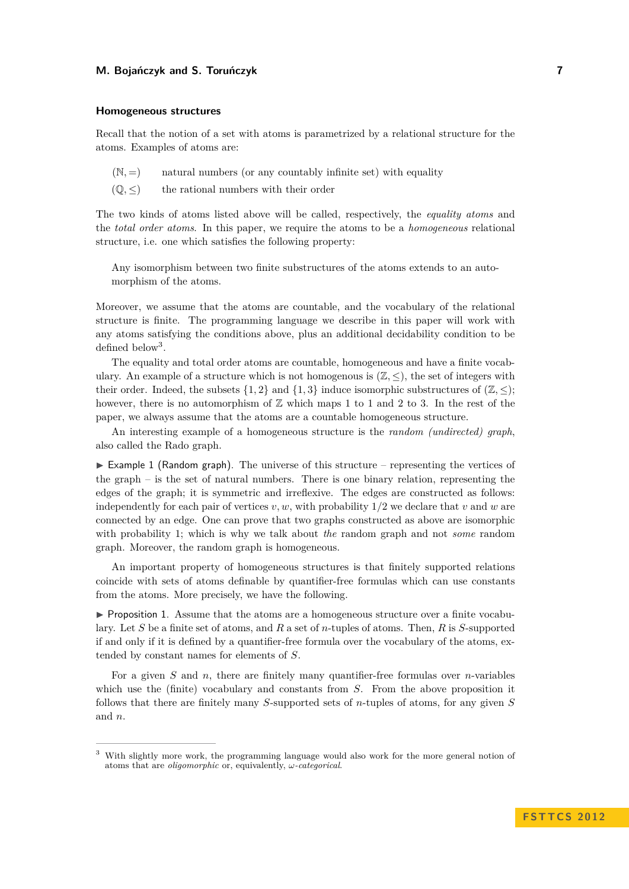#### **Homogeneous structures**

Recall that the notion of a set with atoms is parametrized by a relational structure for the atoms. Examples of atoms are:

 $(N, =)$  natural numbers (or any countably infinite set) with equality

 $(\mathbb{Q}, \leq)$  the rational numbers with their order

The two kinds of atoms listed above will be called, respectively, the *equality atoms* and the *total order atoms*. In this paper, we require the atoms to be a *homogeneous* relational structure, i.e. one which satisfies the following property:

Any isomorphism between two finite substructures of the atoms extends to an automorphism of the atoms.

Moreover, we assume that the atoms are countable, and the vocabulary of the relational structure is finite. The programming language we describe in this paper will work with any atoms satisfying the conditions above, plus an additional decidability condition to be defined below<sup>[3](#page-3-0)</sup>.

The equality and total order atoms are countable, homogeneous and have a finite vocabulary. An example of a structure which is not homogenous is  $(\mathbb{Z}, \leq)$ , the set of integers with their order. Indeed, the subsets  $\{1, 2\}$  and  $\{1, 3\}$  induce isomorphic substructures of  $(\mathbb{Z}, \leq)$ ; however, there is no automorphism of  $\mathbb Z$  which maps 1 to 1 and 2 to 3. In the rest of the paper, we always assume that the atoms are a countable homogeneous structure.

An interesting example of a homogeneous structure is the *random (undirected) graph*, also called the Rado graph.

 $\triangleright$  Example 1 (Random graph). The universe of this structure – representing the vertices of the graph – is the set of natural numbers. There is one binary relation, representing the edges of the graph; it is symmetric and irreflexive. The edges are constructed as follows: independently for each pair of vertices  $v, w$ , with probability  $1/2$  we declare that  $v$  and  $w$  are connected by an edge. One can prove that two graphs constructed as above are isomorphic with probability 1; which is why we talk about *the* random graph and not *some* random graph. Moreover, the random graph is homogeneous.

An important property of homogeneous structures is that finitely supported relations coincide with sets of atoms definable by quantifier-free formulas which can use constants from the atoms. More precisely, we have the following.

**Proposition 1.** Assume that the atoms are a homogeneous structure over a finite vocabulary. Let *S* be a finite set of atoms, and *R* a set of *n*-tuples of atoms. Then, *R* is *S*-supported if and only if it is defined by a quantifier-free formula over the vocabulary of the atoms, extended by constant names for elements of *S*.

For a given *S* and *n*, there are finitely many quantifier-free formulas over *n*-variables which use the (finite) vocabulary and constants from *S*. From the above proposition it follows that there are finitely many *S*-supported sets of *n*-tuples of atoms, for any given *S* and *n*.

<span id="page-3-0"></span><sup>&</sup>lt;sup>3</sup> With slightly more work, the programming language would also work for the more general notion of atoms that are *oligomorphic* or, equivalently, *ω-categorical*.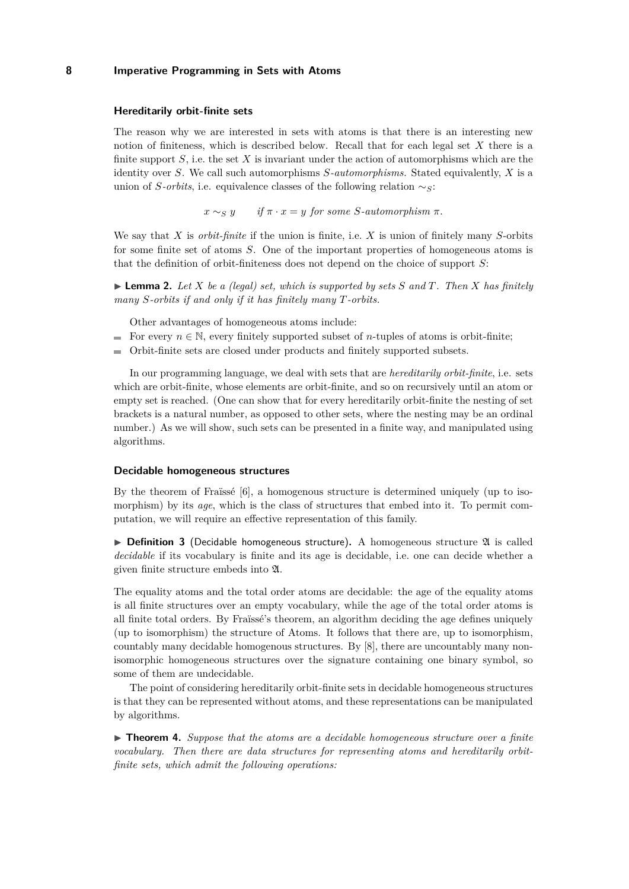## **Hereditarily orbit-finite sets**

The reason why we are interested in sets with atoms is that there is an interesting new notion of finiteness, which is described below. Recall that for each legal set *X* there is a finite support *S*, i.e. the set *X* is invariant under the action of automorphisms which are the identity over *S*. We call such automorphisms *S-automorphisms.* Stated equivalently, *X* is a union of *S-orbits*, i.e. equivalence classes of the following relation ∼*S*:

 $x \sim_S y$  *if*  $\pi \cdot x = y$  *for some S-automorphism*  $\pi$ .

We say that *X* is *orbit-finite* if the union is finite, i.e. *X* is union of finitely many *S*-orbits for some finite set of atoms *S*. One of the important properties of homogeneous atoms is that the definition of orbit-finiteness does not depend on the choice of support *S*:

<span id="page-4-1"></span> $\blacktriangleright$  **Lemma 2.** Let *X* be a (legal) set, which is supported by sets *S* and *T*. Then *X* has finitely *many S-orbits if and only if it has finitely many T-orbits.*

Other advantages of homogeneous atoms include:

- For every  $n \in \mathbb{N}$ , every finitely supported subset of *n*-tuples of atoms is orbit-finite;
- $\equiv$ Orbit-finite sets are closed under products and finitely supported subsets.

In our programming language, we deal with sets that are *hereditarily orbit-finite*, i.e. sets which are orbit-finite, whose elements are orbit-finite, and so on recursively until an atom or empty set is reached. (One can show that for every hereditarily orbit-finite the nesting of set brackets is a natural number, as opposed to other sets, where the nesting may be an ordinal number.) As we will show, such sets can be presented in a finite way, and manipulated using algorithms.

#### **Decidable homogeneous structures**

By the theorem of Fraïssé [\[6\]](#page-11-9), a homogenous structure is determined uniquely (up to isomorphism) by its *age*, which is the class of structures that embed into it. To permit computation, we will require an effective representation of this family.

 $\triangleright$  **Definition 3** (Decidable homogeneous structure). A homogeneous structure  $\mathfrak A$  is called *decidable* if its vocabulary is finite and its age is decidable, i.e. one can decide whether a given finite structure embeds into A.

The equality atoms and the total order atoms are decidable: the age of the equality atoms is all finite structures over an empty vocabulary, while the age of the total order atoms is all finite total orders. By Fraïssé's theorem, an algorithm deciding the age defines uniquely (up to isomorphism) the structure of Atoms. It follows that there are, up to isomorphism, countably many decidable homogenous structures. By [\[8\]](#page-11-10), there are uncountably many nonisomorphic homogeneous structures over the signature containing one binary symbol, so some of them are undecidable.

The point of considering hereditarily orbit-finite sets in decidable homogeneous structures is that they can be represented without atoms, and these representations can be manipulated by algorithms.

<span id="page-4-0"></span>► **Theorem 4.** Suppose that the atoms are a decidable homogeneous structure over a finite *vocabulary. Then there are data structures for representing atoms and hereditarily orbitfinite sets, which admit the following operations:*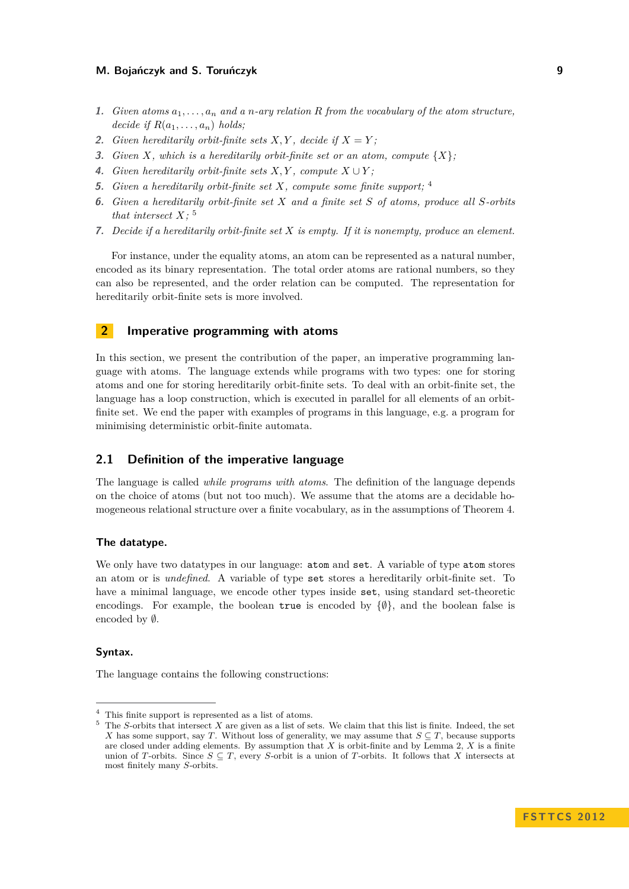- **1.** *Given atoms a*1*, . . . , a<sup>n</sup> and a n-ary relation R from the vocabulary of the atom structure, decide if*  $R(a_1, \ldots, a_n)$  *holds*;
- **2.** *Given hereditarily orbit-finite sets*  $X, Y$ *, decide if*  $X = Y$ *;*
- **3.** *Given X*, *which is a hereditarily orbit-finite set or an atom, compute*  $\{X\}$ ;
- **4.** *Given hereditarily orbit-finite sets*  $X, Y$ *, compute*  $X \cup Y$ *;*
- **5.** *Given a hereditarily orbit-finite set X, compute some finite support;* [4](#page-5-0)
- **6.** *Given a hereditarily orbit-finite set X and a finite set S of atoms, produce all S-orbits that intersect X;* [5](#page-5-1)
- **7.** *Decide if a hereditarily orbit-finite set X is empty. If it is nonempty, produce an element.*

For instance, under the equality atoms, an atom can be represented as a natural number, encoded as its binary representation. The total order atoms are rational numbers, so they can also be represented, and the order relation can be computed. The representation for hereditarily orbit-finite sets is more involved.

# **2 Imperative programming with atoms**

In this section, we present the contribution of the paper, an imperative programming language with atoms. The language extends while programs with two types: one for storing atoms and one for storing hereditarily orbit-finite sets. To deal with an orbit-finite set, the language has a loop construction, which is executed in parallel for all elements of an orbitfinite set. We end the paper with examples of programs in this language, e.g. a program for minimising deterministic orbit-finite automata.

# **2.1 Definition of the imperative language**

The language is called *while programs with atoms*. The definition of the language depends on the choice of atoms (but not too much). We assume that the atoms are a decidable homogeneous relational structure over a finite vocabulary, as in the assumptions of Theorem [4.](#page-4-0)

## **The datatype.**

We only have two datatypes in our language: atom and set. A variable of type atom stores an atom or is *undefined*. A variable of type set stores a hereditarily orbit-finite set. To have a minimal language, we encode other types inside set, using standard set-theoretic encodings. For example, the boolean true is encoded by  $\{\emptyset\}$ , and the boolean false is encoded by ∅.

## **Syntax.**

The language contains the following constructions:

<span id="page-5-0"></span><sup>4</sup> This finite support is represented as a list of atoms.

<span id="page-5-1"></span> $5$  The *S*-orbits that intersect *X* are given as a list of sets. We claim that this list is finite. Indeed, the set *X* has some support, say *T*. Without loss of generality, we may assume that  $S \subseteq T$ , because supports are closed under adding elements. By assumption that *X* is orbit-finite and by Lemma [2,](#page-4-1) *X* is a finite union of *T*-orbits. Since  $S \subseteq T$ , every *S*-orbit is a union of *T*-orbits. It follows that *X* intersects at most finitely many *S*-orbits.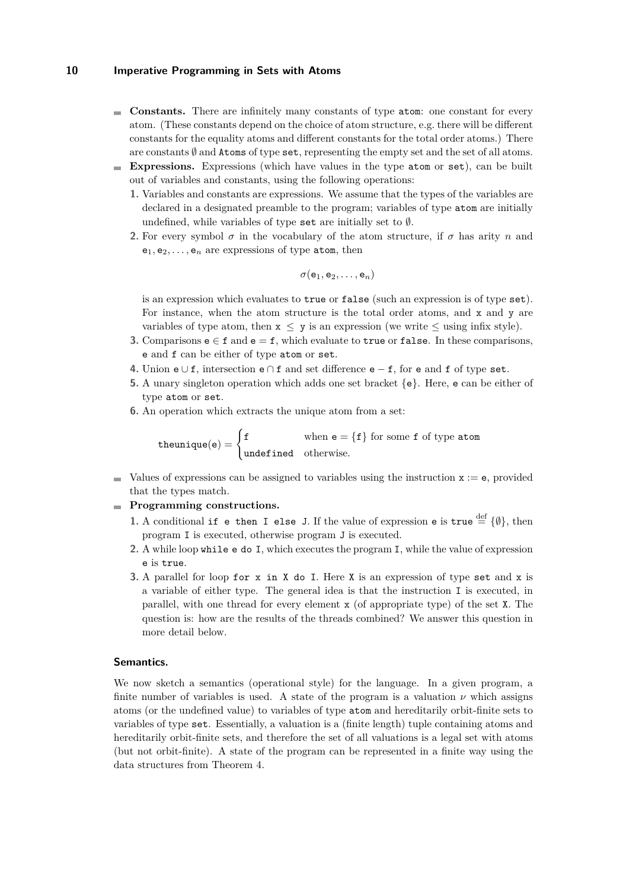- **Constants.** There are infinitely many constants of type atom: one constant for every atom. (These constants depend on the choice of atom structure, e.g. there will be different constants for the equality atoms and different constants for the total order atoms.) There are constants  $\emptyset$  and Atoms of type set, representing the empty set and the set of all atoms.
- **Expressions.** Expressions (which have values in the type atom or set), can be built out of variables and constants, using the following operations:
	- **1.** Variables and constants are expressions. We assume that the types of the variables are declared in a designated preamble to the program; variables of type atom are initially undefined, while variables of type set are initially set to  $\emptyset$ .
	- **2.** For every symbol  $\sigma$  in the vocabulary of the atom structure, if  $\sigma$  has arity  $n$  and  $e_1, e_2, \ldots, e_n$  are expressions of type atom, then

$$
\sigma({\sf e}_1,{\sf e}_2,\ldots,{\sf e}_n)
$$

is an expression which evaluates to true or false (such an expression is of type set). For instance, when the atom structure is the total order atoms, and x and y are variables of type atom, then  $x \leq y$  is an expression (we write  $\leq$  using infix style).

- **3.** Comparisons  $e \in f$  and  $e = f$ , which evaluate to true or false. In these comparisons, e and f can be either of type atom or set.
- **4.** Union e ∪ f, intersection e ∩ f and set difference e − f, for e and f of type set.
- **5.** A unary singleton operation which adds one set bracket {e}. Here, e can be either of type atom or set.
- **6.** An operation which extracts the unique atom from a set:

theunique(e) =  $\begin{cases} f & \text{when } e = \{f\} \text{ for some } f \text{ of type atom} \end{cases}$ undefined otherwise*.*

 $\blacksquare$  Values of expressions can be assigned to variables using the instruction  $x := e$ , provided that the types match.

## **Programming constructions.**

- **1.** A conditional if e then I else J. If the value of expression e is true  $\stackrel{\text{def}}{=} \{\emptyset\}$ , then program I is executed, otherwise program J is executed.
- **2.** A while loop while e do I, which executes the program I, while the value of expression e is true.
- **3.** A parallel for loop for x in X do I. Here X is an expression of type set and x is a variable of either type. The general idea is that the instruction I is executed, in parallel, with one thread for every element x (of appropriate type) of the set X. The question is: how are the results of the threads combined? We answer this question in more detail below.

#### **Semantics.**

We now sketch a semantics (operational style) for the language. In a given program, a finite number of variables is used. A state of the program is a valuation  $\nu$  which assigns atoms (or the undefined value) to variables of type atom and hereditarily orbit-finite sets to variables of type set. Essentially, a valuation is a (finite length) tuple containing atoms and hereditarily orbit-finite sets, and therefore the set of all valuations is a legal set with atoms (but not orbit-finite). A state of the program can be represented in a finite way using the data structures from Theorem [4.](#page-4-0)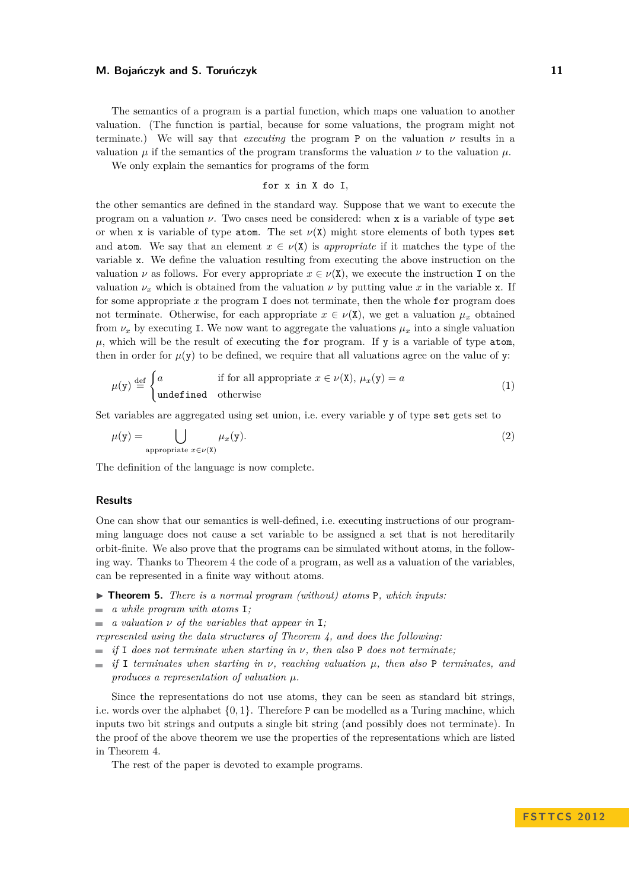The semantics of a program is a partial function, which maps one valuation to another valuation. (The function is partial, because for some valuations, the program might not terminate.) We will say that *executing* the program P on the valuation *ν* results in a valuation  $\mu$  if the semantics of the program transforms the valuation  $\nu$  to the valuation  $\mu$ .

We only explain the semantics for programs of the form

$$
\quad \text{for x in X do I},
$$

the other semantics are defined in the standard way. Suppose that we want to execute the program on a valuation *ν*. Two cases need be considered: when x is a variable of type set or when x is variable of type atom. The set  $\nu(X)$  might store elements of both types set and atom. We say that an element  $x \in \nu(X)$  is *appropriate* if it matches the type of the variable x. We define the valuation resulting from executing the above instruction on the valuation *v* as follows. For every appropriate  $x \in \nu(X)$ , we execute the instruction I on the valuation  $\nu_x$  which is obtained from the valuation  $\nu$  by putting value x in the variable x. If for some appropriate *x* the program I does not terminate, then the whole for program does not terminate. Otherwise, for each appropriate  $x \in \nu(X)$ , we get a valuation  $\mu_x$  obtained from  $\nu_x$  by executing I. We now want to aggregate the valuations  $\mu_x$  into a single valuation  $\mu$ , which will be the result of executing the for program. If y is a variable of type atom, then in order for  $\mu(\mathbf{y})$  to be defined, we require that all valuations agree on the value of y:

$$
\mu(y) \stackrel{\text{def}}{=} \begin{cases} a & \text{if for all appropriate } x \in \nu(X), \mu_x(y) = a \\ \text{undefined} & \text{otherwise} \end{cases} \tag{1}
$$

Set variables are aggregated using set union, i.e. every variable y of type set gets set to

$$
\mu(y) = \bigcup_{\text{appropriate } x \in \nu(X)} \mu_x(y). \tag{2}
$$

The definition of the language is now complete.

#### **Results**

One can show that our semantics is well-defined, i.e. executing instructions of our programming language does not cause a set variable to be assigned a set that is not hereditarily orbit-finite. We also prove that the programs can be simulated without atoms, in the following way. Thanks to Theorem [4](#page-4-0) the code of a program, as well as a valuation of the variables, can be represented in a finite way without atoms.

- ▶ **Theorem 5.** *There is a normal program (without) atoms* **P**, which inputs:
- *a while program with atoms* I*;*
- *a valuation ν of the variables that appear in* I*;*
- *represented using the data structures of Theorem [4,](#page-4-0) and does the following:*
- $\blacksquare$  *if* I does not terminate when starting in *ν*, then also **P** does not terminate;
- $\bullet$  *if* I *terminates when starting in ν, reaching valuation µ, then also* P *terminates, and produces a representation of valuation µ.*

Since the representations do not use atoms, they can be seen as standard bit strings, i.e. words over the alphabet  $\{0, 1\}$ . Therefore P can be modelled as a Turing machine, which inputs two bit strings and outputs a single bit string (and possibly does not terminate). In the proof of the above theorem we use the properties of the representations which are listed in Theorem [4.](#page-4-0)

The rest of the paper is devoted to example programs.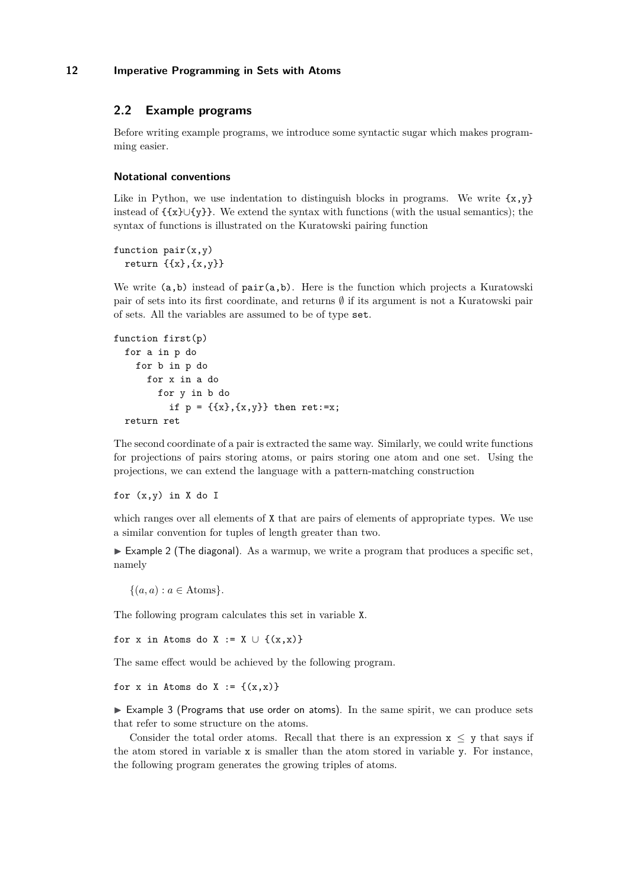# **2.2 Example programs**

Before writing example programs, we introduce some syntactic sugar which makes programming easier.

#### **Notational conventions**

Like in Python, we use indentation to distinguish blocks in programs. We write  $\{x,y\}$ instead of  $\{x\} \cup \{y\}$ . We extend the syntax with functions (with the usual semantics); the syntax of functions is illustrated on the Kuratowski pairing function

```
function pair(x,y)return \{\{x\},\{x,y\}\}\
```
We write  $(a,b)$  instead of  $pair(a,b)$ . Here is the function which projects a Kuratowski pair of sets into its first coordinate, and returns  $\emptyset$  if its argument is not a Kuratowski pair of sets. All the variables are assumed to be of type set.

```
function first(p)
  for a in p do
    for b in p do
      for x in a do
        for y in b do
           if p = \{\{x\}, \{x, y\}\}\) then ret:=x;
  return ret
```
The second coordinate of a pair is extracted the same way. Similarly, we could write functions for projections of pairs storing atoms, or pairs storing one atom and one set. Using the projections, we can extend the language with a pattern-matching construction

## for  $(x,y)$  in X do I

which ranges over all elements of  $X$  that are pairs of elements of appropriate types. We use a similar convention for tuples of length greater than two.

 $\triangleright$  Example 2 (The diagonal). As a warmup, we write a program that produces a specific set, namely

 $\{(a, a) : a \in \text{Atoms}\}.$ 

The following program calculates this set in variable X.

for x in Atoms do X := X  $\cup$  {(x,x)}

The same effect would be achieved by the following program.

for x in Atoms do X :=  $\{(x,x)\}$ 

 $\triangleright$  Example 3 (Programs that use order on atoms). In the same spirit, we can produce sets that refer to some structure on the atoms.

Consider the total order atoms. Recall that there is an expression  $x < y$  that says if the atom stored in variable x is smaller than the atom stored in variable y. For instance, the following program generates the growing triples of atoms.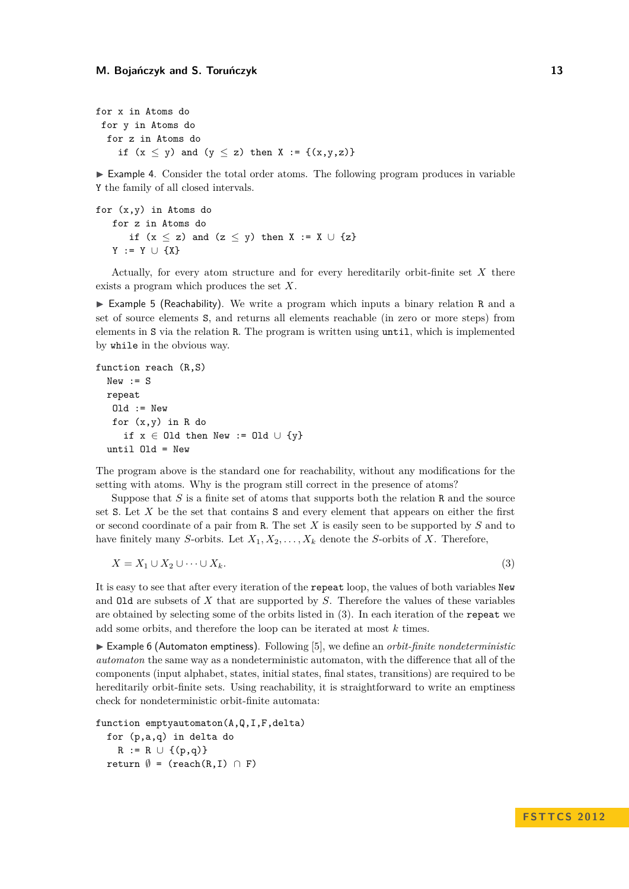for x in Atoms do for y in Atoms do for z in Atoms do if  $(x \le y)$  and  $(y \le z)$  then  $X := \{(x,y,z)\}\$ 

 $\triangleright$  Example 4. Consider the total order atoms. The following program produces in variable Y the family of all closed intervals.

```
for (x,y) in Atoms do
   for z in Atoms do
      if (x \le z) and (z \le y) then X := X \cup \{z\}Y := Y \cup \{X\}
```
Actually, for every atom structure and for every hereditarily orbit-finite set *X* there exists a program which produces the set *X*.

 $\triangleright$  Example 5 (Reachability). We write a program which inputs a binary relation R and a set of source elements S, and returns all elements reachable (in zero or more steps) from elements in S via the relation R. The program is written using until, which is implemented by while in the obvious way.

```
function reach (R,S)
 New := Srepeat
   Old := Newfor (x,y) in R do
     if x \in Old then New := Old \cup {y}
  until Old = New
```
The program above is the standard one for reachability, without any modifications for the setting with atoms. Why is the program still correct in the presence of atoms?

Suppose that *S* is a finite set of atoms that supports both the relation R and the source set S. Let *X* be the set that contains S and every element that appears on either the first or second coordinate of a pair from R. The set *X* is easily seen to be supported by *S* and to have finitely many *S*-orbits. Let  $X_1, X_2, \ldots, X_k$  denote the *S*-orbits of *X*. Therefore,

<span id="page-9-0"></span>
$$
X = X_1 \cup X_2 \cup \dots \cup X_k. \tag{3}
$$

It is easy to see that after every iteration of the repeat loop, the values of both variables New and Old are subsets of *X* that are supported by *S*. Therefore the values of these variables are obtained by selecting some of the orbits listed in [\(3\)](#page-9-0). In each iteration of the repeat we add some orbits, and therefore the loop can be iterated at most *k* times.

► Example 6 (Automaton emptiness). Following [\[5\]](#page-11-7), we define an *orbit-finite nondeterministic automaton* the same way as a nondeterministic automaton, with the difference that all of the components (input alphabet, states, initial states, final states, transitions) are required to be hereditarily orbit-finite sets. Using reachability, it is straightforward to write an emptiness check for nondeterministic orbit-finite automata:

function emptyautomaton(A,Q,I,F,delta) for (p,a,q) in delta do  $R := R \cup \{(p,q)\}\$ 

return  $\emptyset$  = (reach(R,I)  $\cap$  F)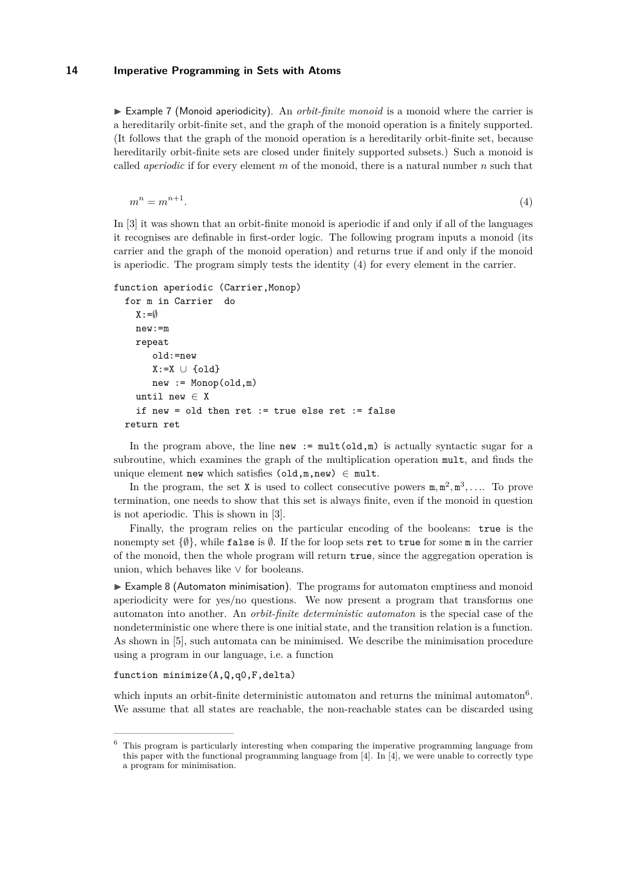$\triangleright$  Example 7 (Monoid aperiodicity). An *orbit-finite monoid* is a monoid where the carrier is a hereditarily orbit-finite set, and the graph of the monoid operation is a finitely supported. (It follows that the graph of the monoid operation is a hereditarily orbit-finite set, because hereditarily orbit-finite sets are closed under finitely supported subsets.) Such a monoid is called *aperiodic* if for every element *m* of the monoid, there is a natural number *n* such that

<span id="page-10-0"></span>
$$
m^n = m^{n+1}.\tag{4}
$$

In [\[3\]](#page-11-6) it was shown that an orbit-finite monoid is aperiodic if and only if all of the languages it recognises are definable in first-order logic. The following program inputs a monoid (its carrier and the graph of the monoid operation) and returns true if and only if the monoid is aperiodic. The program simply tests the identity [\(4\)](#page-10-0) for every element in the carrier.

```
function aperiodic (Carrier, Monop)
  for m in Carrier do
    X := \emptysetnew:=m
    repeat
       old:=new
       X:=X \cup \{old\}new := Monop(old,m)until new \in Xif new = old then ret := true else ret := false
  return ret
```
In the program above, the line new :=  $\text{mult}(\text{old},\text{m})$  is actually syntactic sugar for a subroutine, which examines the graph of the multiplication operation mult, and finds the unique element new which satisfies  $(\text{old},m,new) \in mult$ .

In the program, the set **X** is used to collect consecutive powers  $m, m^2, m^3, \ldots$ . To prove termination, one needs to show that this set is always finite, even if the monoid in question is not aperiodic. This is shown in [\[3\]](#page-11-6).

Finally, the program relies on the particular encoding of the booleans: true is the nonempty set  $\{\emptyset\}$ , while false is  $\emptyset$ . If the for loop sets ret to true for some m in the carrier of the monoid, then the whole program will return true, since the aggregation operation is union, which behaves like  $\vee$  for booleans.

 $\triangleright$  Example 8 (Automaton minimisation). The programs for automaton emptiness and monoid aperiodicity were for yes/no questions. We now present a program that transforms one automaton into another. An *orbit-finite deterministic automaton* is the special case of the nondeterministic one where there is one initial state, and the transition relation is a function. As shown in [\[5\]](#page-11-7), such automata can be minimised. We describe the minimisation procedure using a program in our language, i.e. a function

## function minimize(A,Q,q0,F,delta)

which inputs an orbit-finite deterministic automaton and returns the minimal automaton<sup>[6](#page-10-1)</sup>. We assume that all states are reachable, the non-reachable states can be discarded using

<span id="page-10-1"></span> $^6\,$  This program is particularly interesting when comparing the imperative programming language from this paper with the functional programming language from [\[4\]](#page-11-8). In [\[4\]](#page-11-8), we were unable to correctly type a program for minimisation.